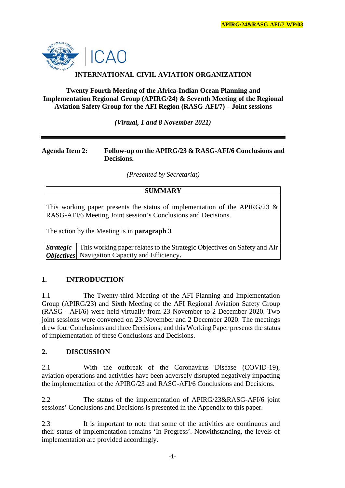

# **INTERNATIONAL CIVIL AVIATION ORGANIZATION**

**Twenty Fourth Meeting of the Africa-Indian Ocean Planning and Implementation Regional Group (APIRG/24) & Seventh Meeting of the Regional Aviation Safety Group for the AFI Region (RASG-AFI/7) – Joint sessions**

*(Virtual, 1 and 8 November 2021)*

#### **Agenda Item 2: Follow-up on the APIRG/23 & RASG-AFI/6 Conclusions and Decisions.**

*(Presented by Secretariat)*

### **SUMMARY**

This working paper presents the status of implementation of the APIRG/23  $\&$ RASG-AFI/6 Meeting Joint session's Conclusions and Decisions.

The action by the Meeting is in **paragraph 3**

*Strategic Objectives* Navigation Capacity and Efficiency**.** This working paper relates to the Strategic Objectives on Safety and Air

# **1. INTRODUCTION**

1.1 The Twenty-third Meeting of the AFI Planning and Implementation Group (APIRG/23) and Sixth Meeting of the AFI Regional Aviation Safety Group (RASG - AFI/6) were held virtually from 23 November to 2 December 2020. Two joint sessions were convened on 23 November and 2 December 2020. The meetings drew four Conclusions and three Decisions; and this Working Paper presents the status of implementation of these Conclusions and Decisions.

### **2. DISCUSSION**

2.1 With the outbreak of the Coronavirus Disease (COVID-19), aviation operations and activities have been adversely disrupted negatively impacting the implementation of the APIRG/23 and RASG-AFI/6 Conclusions and Decisions.

2.2 The status of the implementation of APIRG/23&RASG-AFI/6 joint sessions' Conclusions and Decisions is presented in the Appendix to this paper.

2.3 It is important to note that some of the activities are continuous and their status of implementation remains 'In Progress'. Notwithstanding, the levels of implementation are provided accordingly.